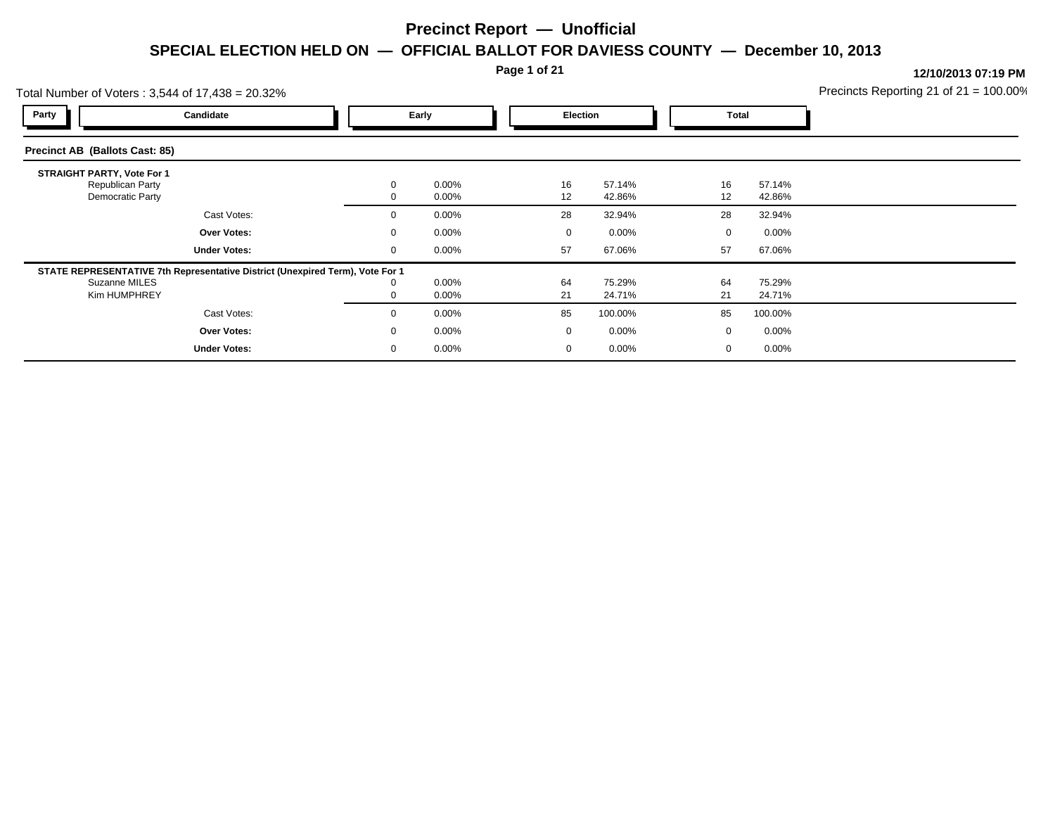**Page 1 of 21**

|                                   | Total Number of Voters: 3,544 of 17,438 = 20.32%                                                               |              |                |             |                  |          |                  | Precincts Reporting 21 of $21 = 100.00\%$ |
|-----------------------------------|----------------------------------------------------------------------------------------------------------------|--------------|----------------|-------------|------------------|----------|------------------|-------------------------------------------|
| Party                             | Candidate                                                                                                      |              | Early          |             | <b>Election</b>  |          | Total            |                                           |
| Precinct AB (Ballots Cast: 85)    |                                                                                                                |              |                |             |                  |          |                  |                                           |
| <b>STRAIGHT PARTY, Vote For 1</b> | Republican Party<br>Democratic Party                                                                           | $\mathbf{0}$ | 0.00%<br>0.00% | 16<br>12    | 57.14%<br>42.86% | 16<br>12 | 57.14%<br>42.86% |                                           |
|                                   | Cast Votes:                                                                                                    | $\mathbf{0}$ | 0.00%          | 28          | 32.94%           | 28       | 32.94%           |                                           |
|                                   | Over Votes:                                                                                                    | $\mathbf{0}$ | 0.00%          | $\mathbf 0$ | $0.00\%$         | 0        | $0.00\%$         |                                           |
|                                   | <b>Under Votes:</b>                                                                                            | $\mathbf 0$  | 0.00%          | 57          | 67.06%           | 57       | 67.06%           |                                           |
|                                   | STATE REPRESENTATIVE 7th Representative District (Unexpired Term), Vote For 1<br>Suzanne MILES<br>Kim HUMPHREY | 0            | 0.00%<br>0.00% | 64<br>21    | 75.29%<br>24.71% | 64<br>21 | 75.29%<br>24.71% |                                           |
|                                   | Cast Votes:                                                                                                    | $\mathbf{0}$ | 0.00%          | 85          | 100.00%          | 85       | 100.00%          |                                           |
|                                   | Over Votes:                                                                                                    | $\mathbf{0}$ | 0.00%          | $\mathbf 0$ | $0.00\%$         | 0        | $0.00\%$         |                                           |
|                                   | <b>Under Votes:</b>                                                                                            | 0            | 0.00%          | 0           | $0.00\%$         | 0        | $0.00\%$         |                                           |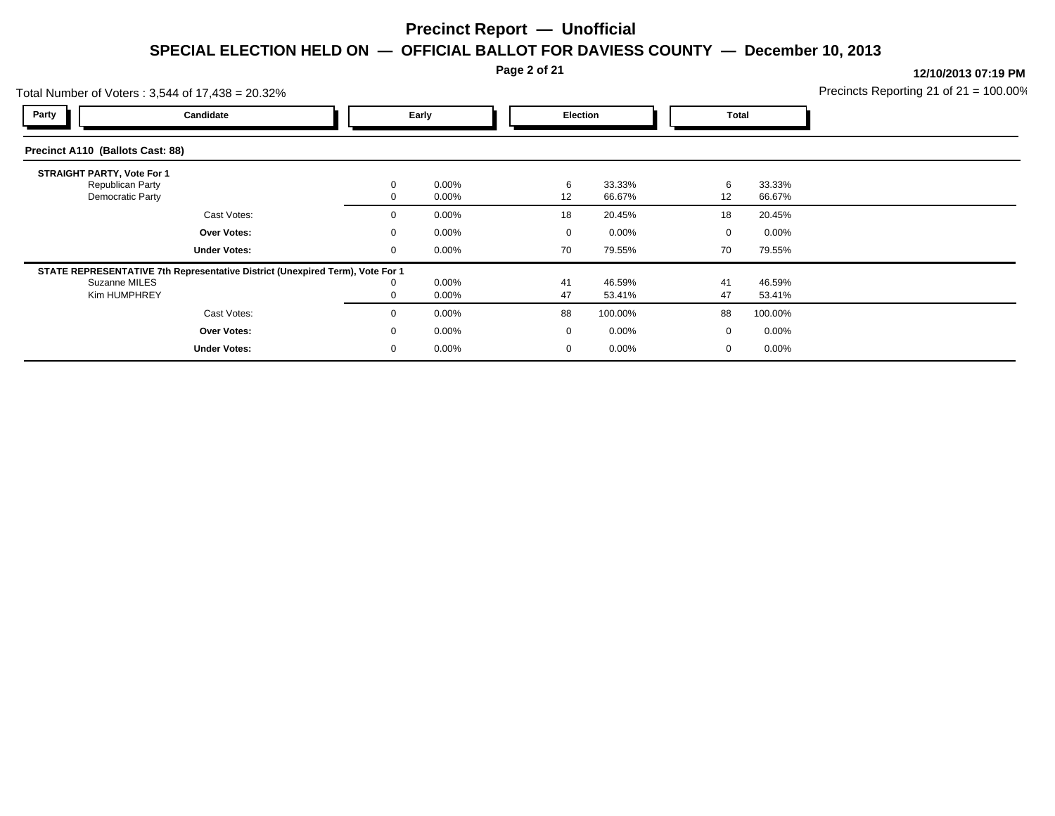#### **Page 2 of 21**

#### **12/10/2013 07:19 PM**

Precincts Reporting 21 of 21 = 100.00%

| Total Number of Voters: 3,544 of 17,438 = 20.32%                                 |                                                                               |  |                   |                |  |                 |                  | Precincts Reporting 21 of $21 = 100.00$ ? |                  |  |
|----------------------------------------------------------------------------------|-------------------------------------------------------------------------------|--|-------------------|----------------|--|-----------------|------------------|-------------------------------------------|------------------|--|
| Party                                                                            | Candidate                                                                     |  | Early             |                |  | <b>Election</b> |                  | <b>Total</b>                              |                  |  |
| Precinct A110 (Ballots Cast: 88)                                                 |                                                                               |  |                   |                |  |                 |                  |                                           |                  |  |
| <b>STRAIGHT PARTY, Vote For 1</b><br><b>Republican Party</b><br>Democratic Party |                                                                               |  | $\mathbf{0}$<br>0 | 0.00%<br>0.00% |  | 6<br>12         | 33.33%<br>66.67% | 6<br>12                                   | 33.33%<br>66.67% |  |
|                                                                                  | Cast Votes:                                                                   |  | 0                 | 0.00%          |  | 18              | 20.45%           | 18                                        | 20.45%           |  |
|                                                                                  | <b>Over Votes:</b>                                                            |  | $\mathbf{0}$      | 0.00%          |  | $\Omega$        | $0.00\%$         | $\mathbf{0}$                              | $0.00\%$         |  |
|                                                                                  | <b>Under Votes:</b>                                                           |  | $\mathbf{0}$      | 0.00%          |  | 70              | 79.55%           | 70                                        | 79.55%           |  |
|                                                                                  | STATE REPRESENTATIVE 7th Representative District (Unexpired Term), Vote For 1 |  |                   |                |  |                 |                  |                                           |                  |  |
| Suzanne MILES<br>Kim HUMPHREY                                                    |                                                                               |  | 0<br>0            | 0.00%<br>0.00% |  | 41<br>47        | 46.59%<br>53.41% | 41<br>47                                  | 46.59%<br>53.41% |  |
|                                                                                  | Cast Votes:                                                                   |  | $\mathbf{0}$      | 0.00%          |  | 88              | 100.00%          | 88                                        | 100.00%          |  |
|                                                                                  | <b>Over Votes:</b>                                                            |  | $\mathbf{0}$      | 0.00%          |  | $\mathbf 0$     | $0.00\%$         | $\mathbf{0}$                              | $0.00\%$         |  |
|                                                                                  | <b>Under Votes:</b>                                                           |  | $\mathbf{0}$      | 0.00%          |  | $\mathbf 0$     | 0.00%            | 0                                         | $0.00\%$         |  |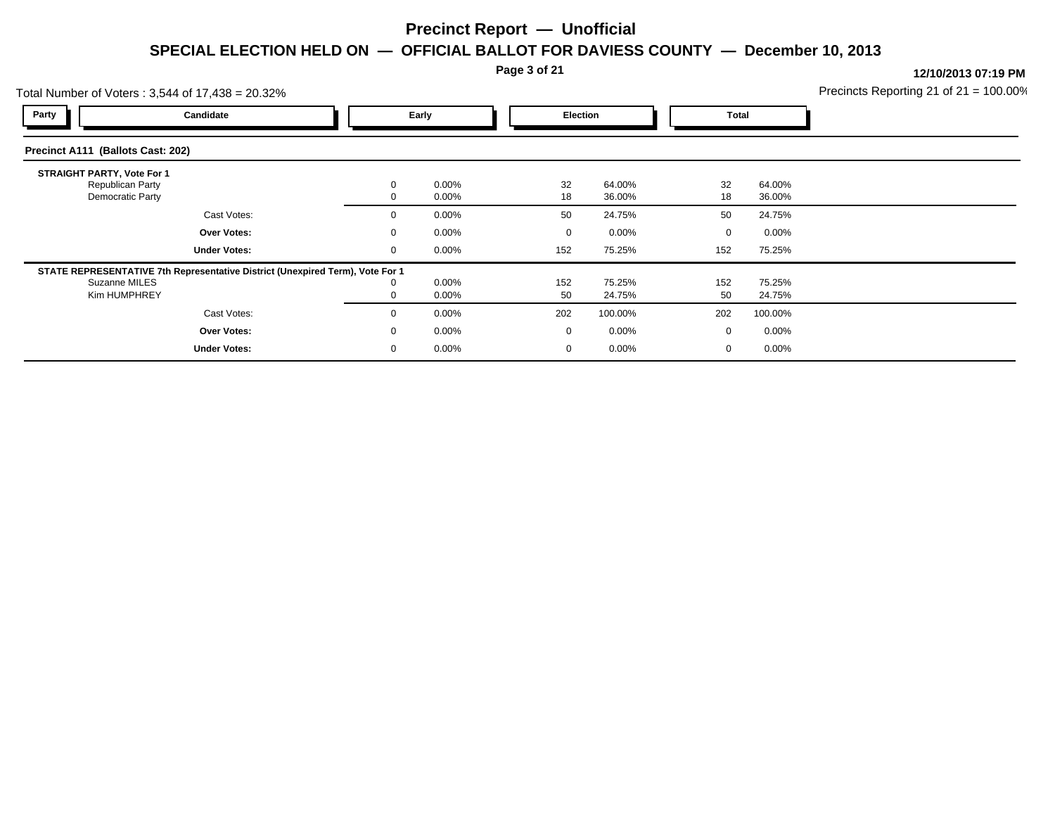**Page 3 of 21**

|                                   | Total Number of Voters: 3,544 of 17,438 = 20.32%                                                               |              |                |           |                         | Precincts Reporting 21 of $21 = 100.00\%$ |                  |  |
|-----------------------------------|----------------------------------------------------------------------------------------------------------------|--------------|----------------|-----------|-------------------------|-------------------------------------------|------------------|--|
| Party                             | Candidate                                                                                                      |              | Early          |           | <b>Election</b>         |                                           | Total            |  |
| Precinct A111 (Ballots Cast: 202) |                                                                                                                |              |                |           |                         |                                           |                  |  |
| <b>STRAIGHT PARTY, Vote For 1</b> | Republican Party<br>Democratic Party                                                                           | $\mathbf{0}$ | 0.00%<br>0.00% | 32<br>18  | 64.00%<br>36.00%        | 32<br>18                                  | 64.00%<br>36.00% |  |
|                                   | Cast Votes:                                                                                                    | $\mathbf{0}$ | 0.00%          | 50        | 24.75%                  | 50                                        | 24.75%           |  |
|                                   | Over Votes:                                                                                                    | $\mathbf{0}$ | 0.00%          |           | $0.00\%$<br>$\mathbf 0$ | 0                                         | $0.00\%$         |  |
|                                   | <b>Under Votes:</b>                                                                                            | $\mathbf 0$  | 0.00%          | 152       | 75.25%                  | 152                                       | 75.25%           |  |
|                                   | STATE REPRESENTATIVE 7th Representative District (Unexpired Term), Vote For 1<br>Suzanne MILES<br>Kim HUMPHREY | 0            | 0.00%<br>0.00% | 152<br>50 | 75.25%<br>24.75%        | 152<br>50                                 | 75.25%<br>24.75% |  |
|                                   | Cast Votes:                                                                                                    | $\mathbf{0}$ | 0.00%          | 202       | 100.00%                 | 202                                       | 100.00%          |  |
|                                   | Over Votes:                                                                                                    | $\mathbf{0}$ | 0.00%          |           | $0.00\%$<br>$\mathbf 0$ | 0                                         | $0.00\%$         |  |
|                                   | <b>Under Votes:</b>                                                                                            | 0            | 0.00%          |           | $0.00\%$<br>$\mathbf 0$ | 0                                         | $0.00\%$         |  |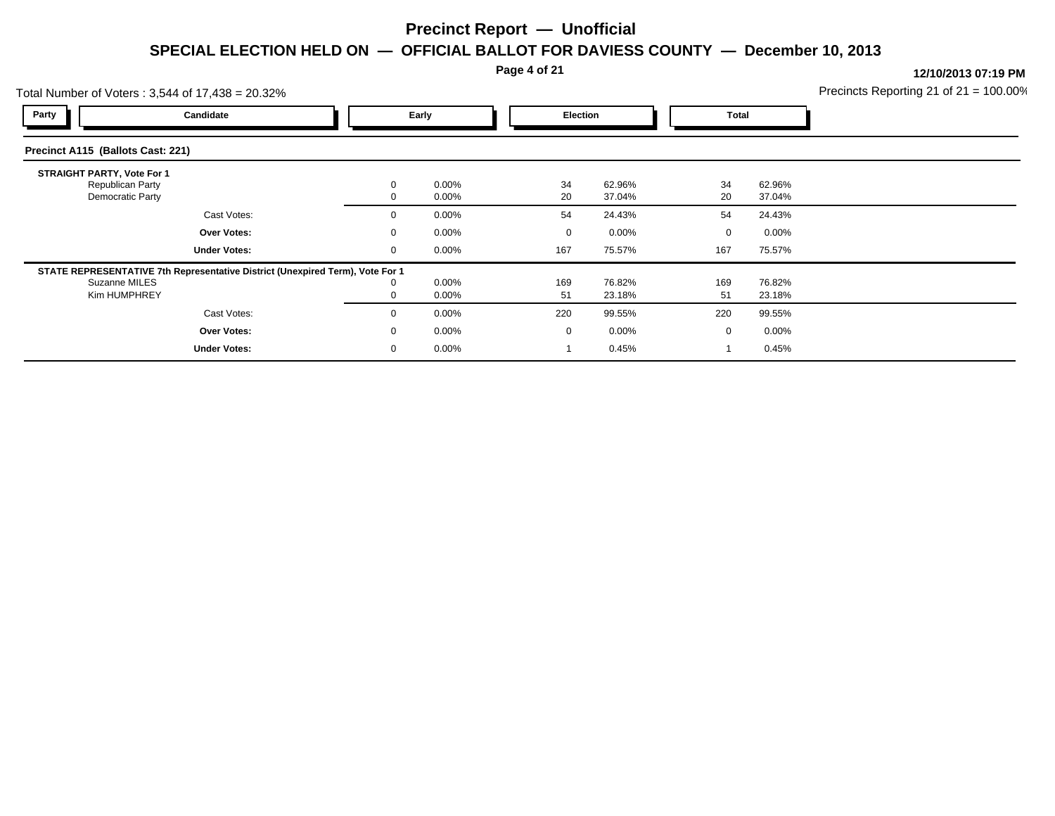**Page 4 of 21**

| Total Number of Voters: 3,544 of 17,438 = 20.32%                              |              |          |             |          | Precincts Reporting 21 of $21 = 100.00\%$ |          |  |
|-------------------------------------------------------------------------------|--------------|----------|-------------|----------|-------------------------------------------|----------|--|
| Party<br>Candidate                                                            |              | Early    |             | Election |                                           | Total    |  |
| Precinct A115 (Ballots Cast: 221)                                             |              |          |             |          |                                           |          |  |
| <b>STRAIGHT PARTY, Vote For 1</b>                                             |              |          |             |          |                                           |          |  |
| Republican Party                                                              | 0            | 0.00%    | 34          | 62.96%   | 34                                        | 62.96%   |  |
| Democratic Party                                                              |              | 0.00%    | 20          | 37.04%   | 20                                        | 37.04%   |  |
| Cast Votes:                                                                   | $\mathbf{0}$ | 0.00%    | 54          | 24.43%   | 54                                        | 24.43%   |  |
| Over Votes:                                                                   | $\mathbf{0}$ | 0.00%    | $\mathbf 0$ | $0.00\%$ | $\mathbf{0}$                              | $0.00\%$ |  |
| <b>Under Votes:</b>                                                           | 0            | $0.00\%$ | 167         | 75.57%   | 167                                       | 75.57%   |  |
| STATE REPRESENTATIVE 7th Representative District (Unexpired Term), Vote For 1 |              |          |             |          |                                           |          |  |
| Suzanne MILES                                                                 | 0            | 0.00%    | 169         | 76.82%   | 169                                       | 76.82%   |  |
| Kim HUMPHREY                                                                  |              | 0.00%    | 51          | 23.18%   | 51                                        | 23.18%   |  |
| Cast Votes:                                                                   | $\Omega$     | 0.00%    | 220         | 99.55%   | 220                                       | 99.55%   |  |
| Over Votes:                                                                   | $\mathbf{0}$ | 0.00%    | $\mathbf 0$ | $0.00\%$ | 0                                         | $0.00\%$ |  |
| <b>Under Votes:</b>                                                           | 0            | 0.00%    |             | 0.45%    |                                           | 0.45%    |  |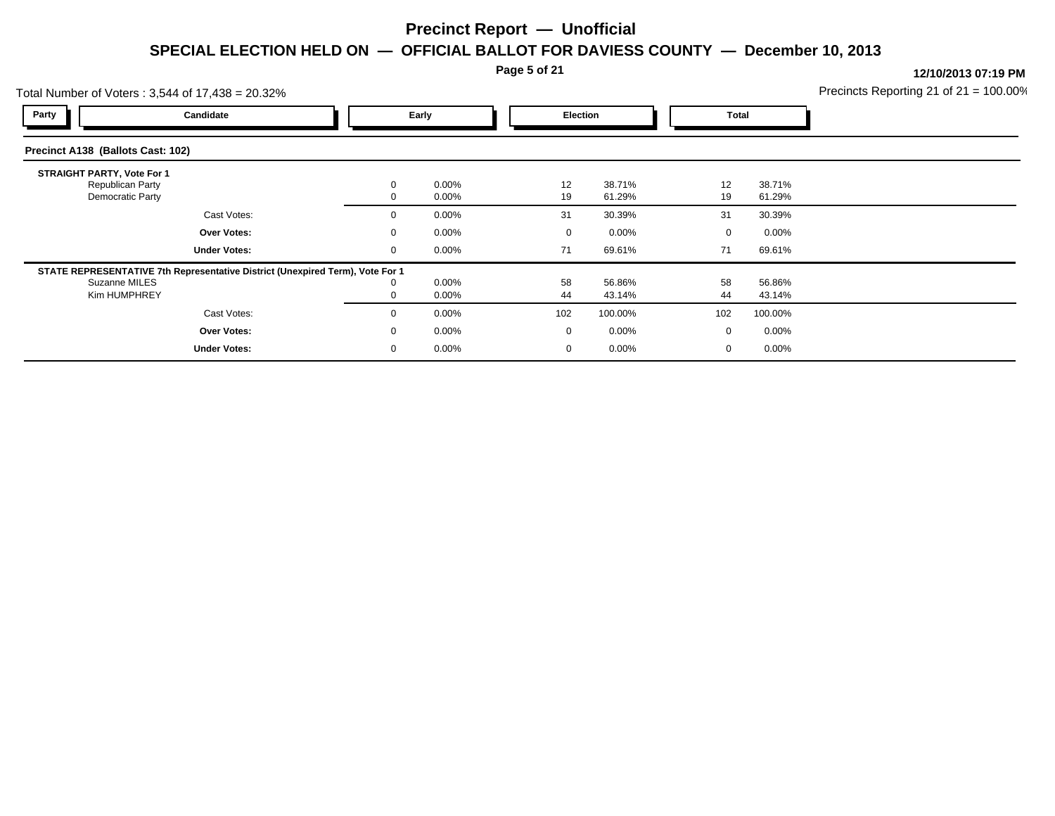**Page 5 of 21**

|                                   | Total Number of Voters: 3,544 of 17,438 = 20.32%                                                               |                   |                   |  |                   |                    |                    |                    | Precincts Reporting 21 of $21 = 100.00\%$ |
|-----------------------------------|----------------------------------------------------------------------------------------------------------------|-------------------|-------------------|--|-------------------|--------------------|--------------------|--------------------|-------------------------------------------|
| Party                             | Candidate                                                                                                      |                   | Early             |  | Election          |                    | Total              |                    |                                           |
| Precinct A138 (Ballots Cast: 102) |                                                                                                                |                   |                   |  |                   |                    |                    |                    |                                           |
| <b>STRAIGHT PARTY, Vote For 1</b> | Republican Party<br>Democratic Party                                                                           | $\mathbf{0}$      | 0.00%<br>0.00%    |  | 12<br>19          | 38.71%<br>61.29%   | 12<br>19           | 38.71%<br>61.29%   |                                           |
|                                   | Cast Votes:                                                                                                    | $\mathbf{0}$      | 0.00%             |  | 31                | 30.39%             | 31                 | 30.39%             |                                           |
|                                   | Over Votes:<br><b>Under Votes:</b>                                                                             | $\mathbf{0}$<br>0 | 0.00%<br>$0.00\%$ |  | $\mathbf 0$<br>71 | $0.00\%$<br>69.61% | $\mathbf{0}$<br>71 | $0.00\%$<br>69.61% |                                           |
|                                   | STATE REPRESENTATIVE 7th Representative District (Unexpired Term), Vote For 1<br>Suzanne MILES<br>Kim HUMPHREY | 0                 | 0.00%<br>0.00%    |  | 58<br>44          | 56.86%<br>43.14%   | 58<br>44           | 56.86%<br>43.14%   |                                           |
|                                   | Cast Votes:                                                                                                    | $\Omega$          | 0.00%             |  | 102               | 100.00%            | 102                | 100.00%            |                                           |
|                                   | Over Votes:                                                                                                    | $\mathbf{0}$      | 0.00%             |  | $\mathbf 0$       | $0.00\%$           | 0                  | $0.00\%$           |                                           |
|                                   | <b>Under Votes:</b>                                                                                            | 0                 | 0.00%             |  | 0                 | $0.00\%$           | 0                  | $0.00\%$           |                                           |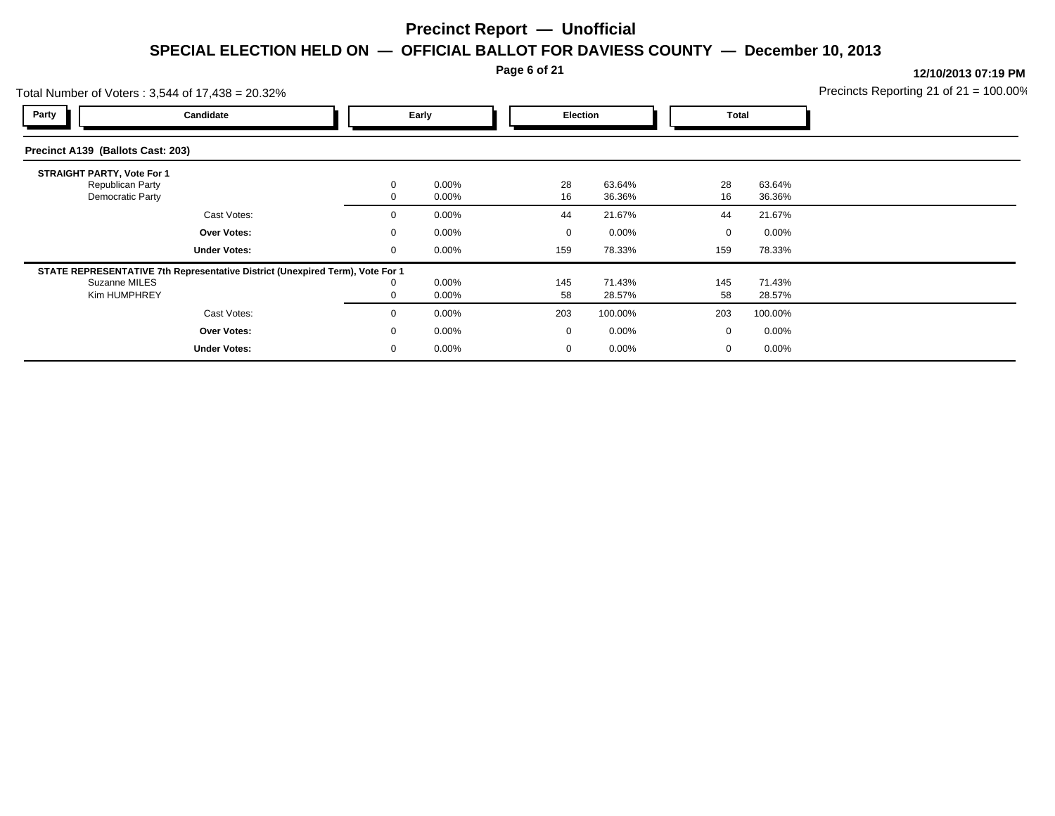**Page 6 of 21**

|                                   | Total Number of Voters: 3,544 of 17,438 = 20.32%                                                               |              |                |             |                  | Precincts Reporting 21 of $21 = 100.00\%$ |                  |  |
|-----------------------------------|----------------------------------------------------------------------------------------------------------------|--------------|----------------|-------------|------------------|-------------------------------------------|------------------|--|
| Party                             | Candidate                                                                                                      |              | Early          |             | <b>Election</b>  |                                           | Total            |  |
| Precinct A139 (Ballots Cast: 203) |                                                                                                                |              |                |             |                  |                                           |                  |  |
| <b>STRAIGHT PARTY, Vote For 1</b> | Republican Party<br>Democratic Party                                                                           | $\mathbf{0}$ | 0.00%<br>0.00% | 28<br>16    | 63.64%<br>36.36% | 28<br>16                                  | 63.64%<br>36.36% |  |
|                                   | Cast Votes:                                                                                                    | $\mathbf{0}$ | 0.00%          | 44          | 21.67%           | 44                                        | 21.67%           |  |
|                                   | Over Votes:                                                                                                    | $\mathbf{0}$ | 0.00%          | $\mathbf 0$ | $0.00\%$         | 0                                         | $0.00\%$         |  |
|                                   | <b>Under Votes:</b>                                                                                            | $\mathbf 0$  | 0.00%          | 159         | 78.33%           | 159                                       | 78.33%           |  |
|                                   | STATE REPRESENTATIVE 7th Representative District (Unexpired Term), Vote For 1<br>Suzanne MILES<br>Kim HUMPHREY | 0            | 0.00%<br>0.00% | 145<br>58   | 71.43%<br>28.57% | 145<br>58                                 | 71.43%<br>28.57% |  |
|                                   | Cast Votes:                                                                                                    | $\mathbf{0}$ | 0.00%          | 203         | 100.00%          | 203                                       | 100.00%          |  |
|                                   | Over Votes:                                                                                                    | $\mathbf{0}$ | 0.00%          | $\mathbf 0$ | $0.00\%$         | 0                                         | $0.00\%$         |  |
|                                   | <b>Under Votes:</b>                                                                                            | 0            | 0.00%          | $\mathbf 0$ | $0.00\%$         | 0                                         | $0.00\%$         |  |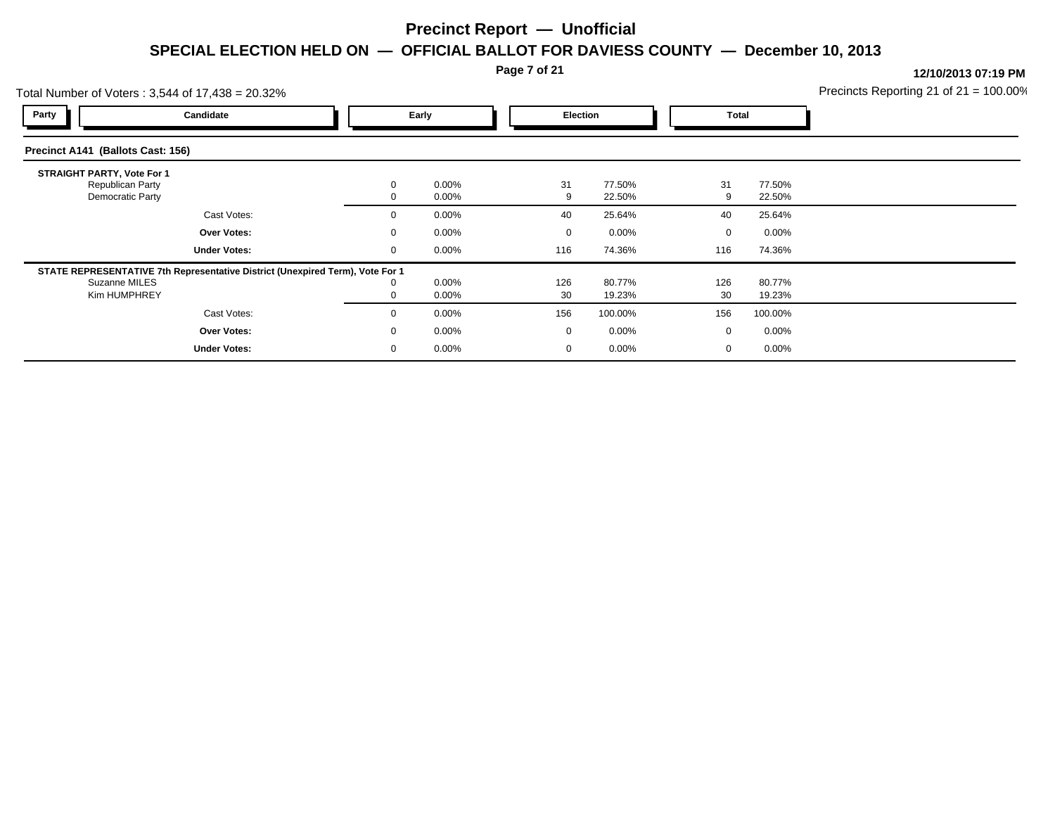**Page 7 of 21**

|                                   | Total Number of Voters: 3,544 of 17,438 = 20.32%                                                               |                              |                |                   |                    | Precincts Reporting 21 of $21 = 100.00\%$ |                    |  |
|-----------------------------------|----------------------------------------------------------------------------------------------------------------|------------------------------|----------------|-------------------|--------------------|-------------------------------------------|--------------------|--|
| Party                             | Candidate                                                                                                      |                              | Early          |                   | <b>Election</b>    | Total                                     |                    |  |
| Precinct A141 (Ballots Cast: 156) |                                                                                                                |                              |                |                   |                    |                                           |                    |  |
| <b>STRAIGHT PARTY, Vote For 1</b> | Republican Party                                                                                               | $\mathbf{0}$                 | 0.00%          | 31                | 77.50%             | 31                                        | 77.50%             |  |
|                                   | Democratic Party<br>Cast Votes:                                                                                |                              | 0.00%<br>0.00% | 9                 | 22.50%             | 9<br>40                                   | 22.50%             |  |
|                                   | Over Votes:                                                                                                    | $\mathbf{0}$<br>$\mathbf{0}$ | 0.00%          | 40<br>$\mathbf 0$ | 25.64%<br>$0.00\%$ | 0                                         | 25.64%<br>$0.00\%$ |  |
|                                   | <b>Under Votes:</b>                                                                                            | $\mathbf 0$                  | 0.00%          | 116               | 74.36%             | 116                                       | 74.36%             |  |
|                                   | STATE REPRESENTATIVE 7th Representative District (Unexpired Term), Vote For 1<br>Suzanne MILES<br>Kim HUMPHREY | 0                            | 0.00%<br>0.00% | 126<br>30         | 80.77%<br>19.23%   | 126<br>30                                 | 80.77%<br>19.23%   |  |
|                                   | Cast Votes:                                                                                                    | $\mathbf{0}$                 | 0.00%          | 156               | 100.00%            | 156                                       | 100.00%            |  |
|                                   | Over Votes:                                                                                                    | $\mathbf{0}$                 | 0.00%          | $\mathbf 0$       | $0.00\%$           | 0                                         | $0.00\%$           |  |
|                                   | <b>Under Votes:</b>                                                                                            | 0                            | 0.00%          | $\mathbf 0$       | $0.00\%$           | 0                                         | $0.00\%$           |  |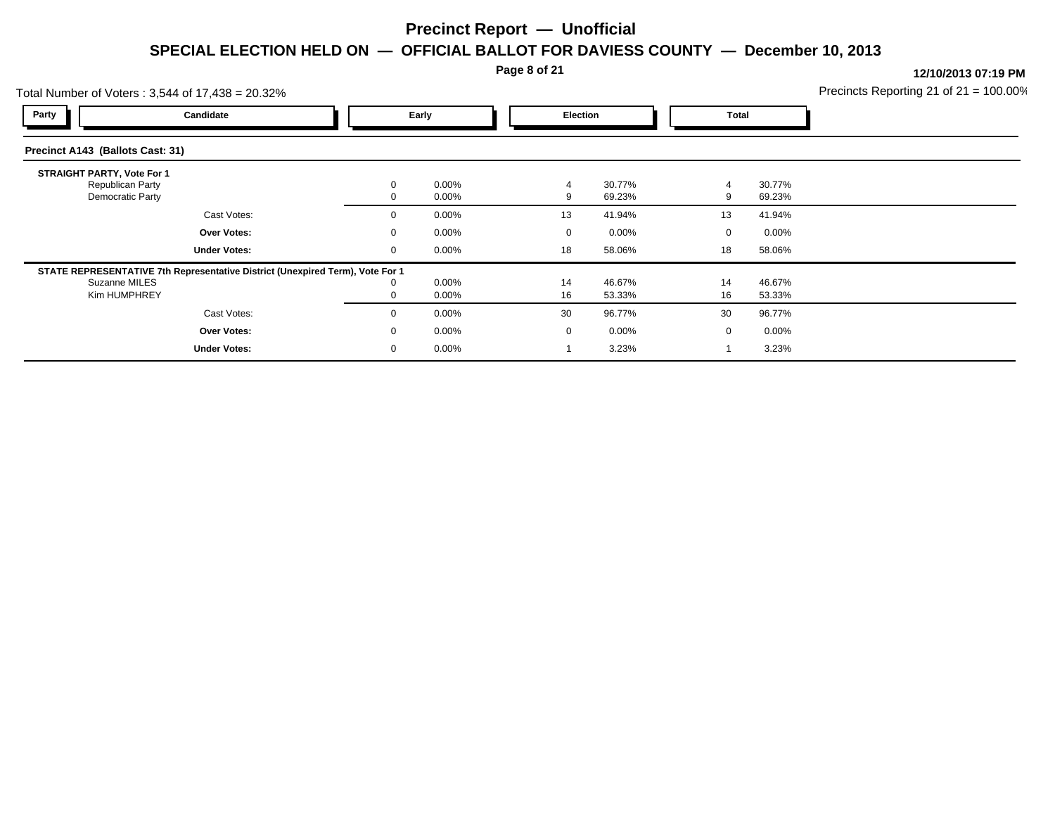**Page 8 of 21**

|                                   | Total Number of Voters: 3,544 of 17,438 = 20.32%                              |              |                |                |                  | Precincts Reporting 21 of $21 = 100.00\%$ |                  |  |
|-----------------------------------|-------------------------------------------------------------------------------|--------------|----------------|----------------|------------------|-------------------------------------------|------------------|--|
| Party                             | Candidate                                                                     |              | Early          |                | Election         |                                           | Total            |  |
| Precinct A143 (Ballots Cast: 31)  |                                                                               |              |                |                |                  |                                           |                  |  |
| <b>STRAIGHT PARTY, Vote For 1</b> | Republican Party                                                              | $\mathbf{0}$ | 0.00%          | $\overline{4}$ | 30.77%           | 4                                         | 30.77%           |  |
|                                   | Democratic Party                                                              |              | 0.00%          | 9              | 69.23%           | 9                                         | 69.23%           |  |
|                                   | Cast Votes:                                                                   | $\mathbf{0}$ | 0.00%          | 13             | 41.94%           | 13                                        | 41.94%           |  |
|                                   | Over Votes:                                                                   | $\mathbf{0}$ | 0.00%          | $\mathbf 0$    | $0.00\%$         | $\mathbf{0}$                              | $0.00\%$         |  |
|                                   | <b>Under Votes:</b>                                                           | 0            | $0.00\%$       | 18             | 58.06%           | 18                                        | 58.06%           |  |
|                                   | STATE REPRESENTATIVE 7th Representative District (Unexpired Term), Vote For 1 |              |                |                |                  |                                           |                  |  |
| Suzanne MILES<br>Kim HUMPHREY     |                                                                               | 0            | 0.00%<br>0.00% | 14<br>16       | 46.67%<br>53.33% | 14<br>16                                  | 46.67%<br>53.33% |  |
|                                   | Cast Votes:                                                                   | $\Omega$     | 0.00%          | 30             | 96.77%           | 30                                        | 96.77%           |  |
|                                   | Over Votes:                                                                   | $\mathbf{0}$ | 0.00%          | $\mathbf 0$    | $0.00\%$         | 0                                         | $0.00\%$         |  |
|                                   | <b>Under Votes:</b>                                                           | 0            | 0.00%          |                | 3.23%            |                                           | 3.23%            |  |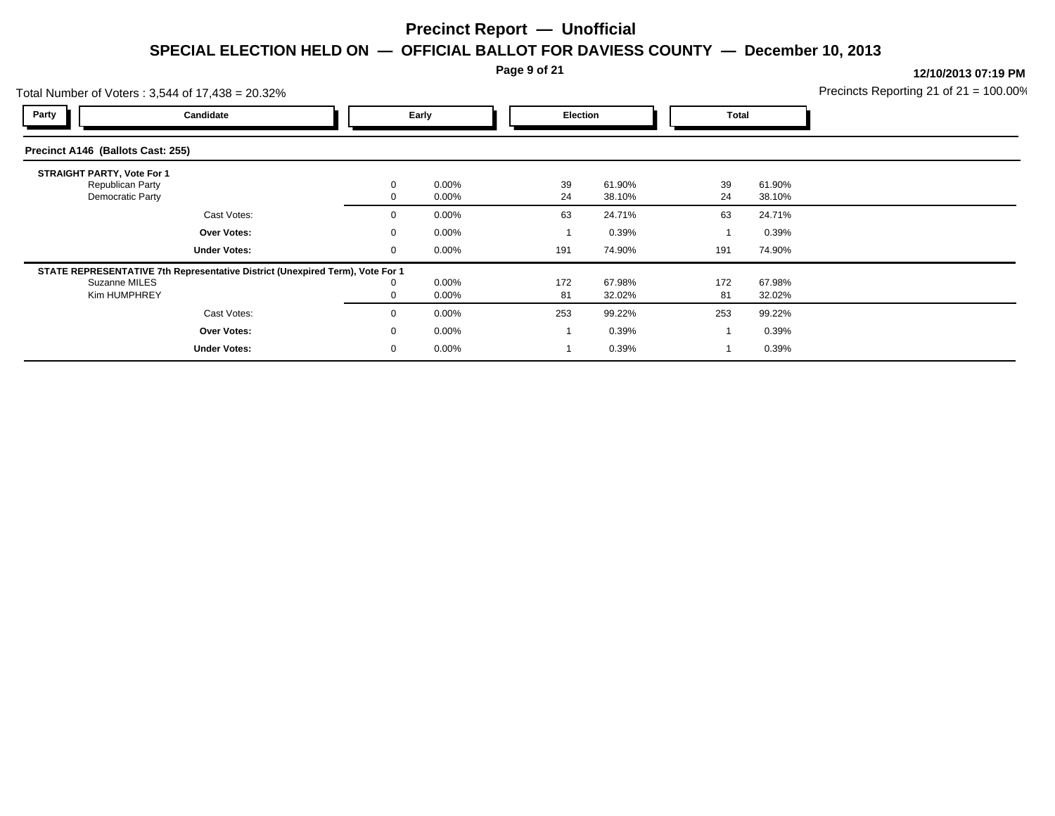**Page 9 of 21**

| Total Number of Voters: 3,544 of 17,438 = 20.32%                          |                                                                               |  |             |                      |           |                  | Precincts Reporting 21 of $21 = 100.00\%$ |                  |  |
|---------------------------------------------------------------------------|-------------------------------------------------------------------------------|--|-------------|----------------------|-----------|------------------|-------------------------------------------|------------------|--|
| Party                                                                     | Candidate                                                                     |  |             | Early                | Election  |                  | <b>Total</b>                              |                  |  |
| Precinct A146 (Ballots Cast: 255)                                         |                                                                               |  |             |                      |           |                  |                                           |                  |  |
| <b>STRAIGHT PARTY, Vote For 1</b><br>Republican Party<br>Democratic Party |                                                                               |  |             | $0.00\%$<br>$0.00\%$ | 39<br>24  | 61.90%<br>38.10% | 39<br>24                                  | 61.90%<br>38.10% |  |
|                                                                           | Cast Votes:                                                                   |  |             | $0.00\%$             | 63        | 24.71%           | 63                                        | 24.71%           |  |
|                                                                           | Over Votes:                                                                   |  |             | $0.00\%$             |           | 0.39%            |                                           | 0.39%            |  |
|                                                                           | <b>Under Votes:</b>                                                           |  | 0           | $0.00\%$             | 191       | 74.90%           | 191                                       | 74.90%           |  |
| Suzanne MILES<br>Kim HUMPHREY                                             | STATE REPRESENTATIVE 7th Representative District (Unexpired Term), Vote For 1 |  |             | $0.00\%$<br>$0.00\%$ | 172<br>81 | 67.98%<br>32.02% | 172<br>81                                 | 67.98%<br>32.02% |  |
|                                                                           | Cast Votes:                                                                   |  | $\Omega$    | $0.00\%$             | 253       | 99.22%           | 253                                       | 99.22%           |  |
|                                                                           | Over Votes:                                                                   |  | $\mathbf 0$ | $0.00\%$             |           | 0.39%            |                                           | 0.39%            |  |
|                                                                           | <b>Under Votes:</b>                                                           |  |             | $0.00\%$             |           | 0.39%            |                                           | 0.39%            |  |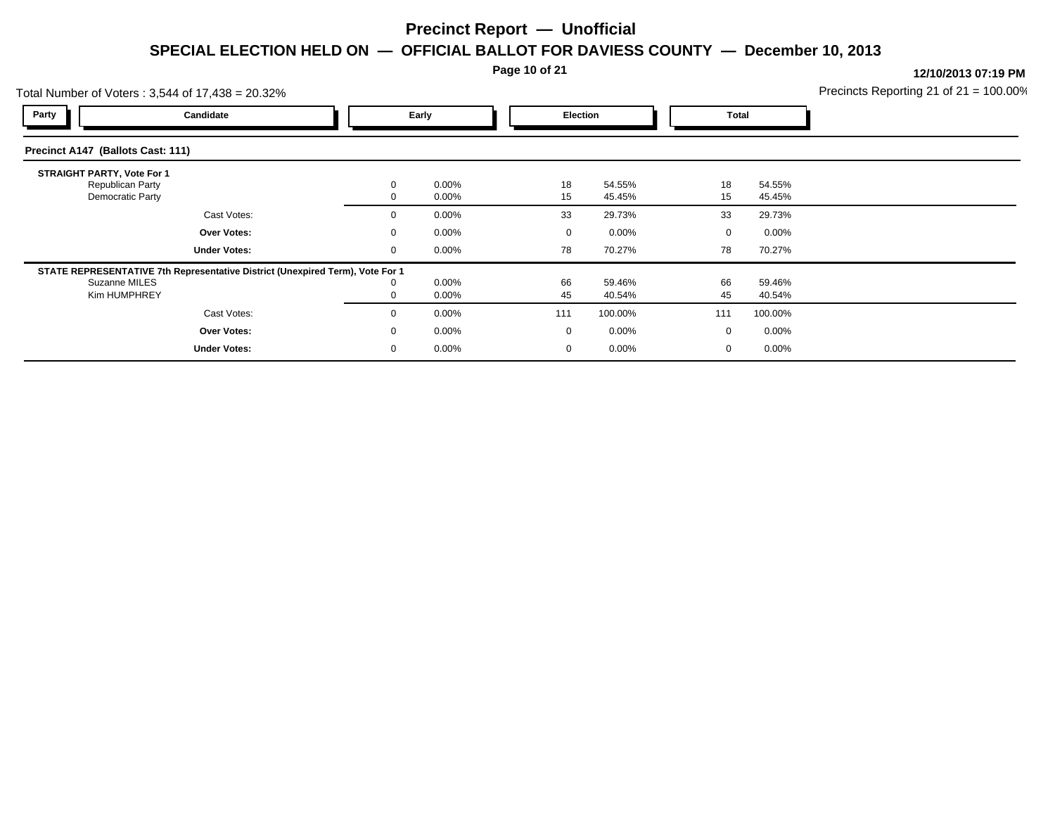**Page 10 of 21**

|                                   | Total Number of Voters: 3,544 of 17,438 = 20.32%                              |              |                |             |                  | Precincts Reporting 21 of $21 = 100.00\%$ |                  |  |
|-----------------------------------|-------------------------------------------------------------------------------|--------------|----------------|-------------|------------------|-------------------------------------------|------------------|--|
| Party                             | Candidate                                                                     |              | Early          |             | <b>Election</b>  | Total                                     |                  |  |
| Precinct A147 (Ballots Cast: 111) |                                                                               |              |                |             |                  |                                           |                  |  |
| <b>STRAIGHT PARTY, Vote For 1</b> | Republican Party                                                              | $\mathbf{0}$ | 0.00%          | 18          | 54.55%           | 18                                        | 54.55%           |  |
|                                   | Democratic Party                                                              |              | 0.00%          | 15          | 45.45%           | 15                                        | 45.45%           |  |
|                                   | Cast Votes:                                                                   | $\mathbf{0}$ | 0.00%          | 33          | 29.73%           | 33                                        | 29.73%           |  |
|                                   | Over Votes:                                                                   | $\mathbf{0}$ | 0.00%          | $\mathbf 0$ | $0.00\%$         | 0                                         | $0.00\%$         |  |
|                                   | <b>Under Votes:</b>                                                           | $\mathbf 0$  | 0.00%          | 78          | 70.27%           | 78                                        | 70.27%           |  |
|                                   | STATE REPRESENTATIVE 7th Representative District (Unexpired Term), Vote For 1 |              |                |             |                  |                                           |                  |  |
|                                   | Suzanne MILES<br>Kim HUMPHREY                                                 | 0            | 0.00%<br>0.00% | 66<br>45    | 59.46%<br>40.54% | 66<br>45                                  | 59.46%<br>40.54% |  |
|                                   | Cast Votes:                                                                   | $\mathbf{0}$ | 0.00%          | 111         | 100.00%          | 111                                       | 100.00%          |  |
|                                   | Over Votes:                                                                   | $\mathbf{0}$ | 0.00%          | $\mathbf 0$ | $0.00\%$         | 0                                         | $0.00\%$         |  |
|                                   | <b>Under Votes:</b>                                                           | 0            | 0.00%          | $\mathbf 0$ | $0.00\%$         | 0                                         | $0.00\%$         |  |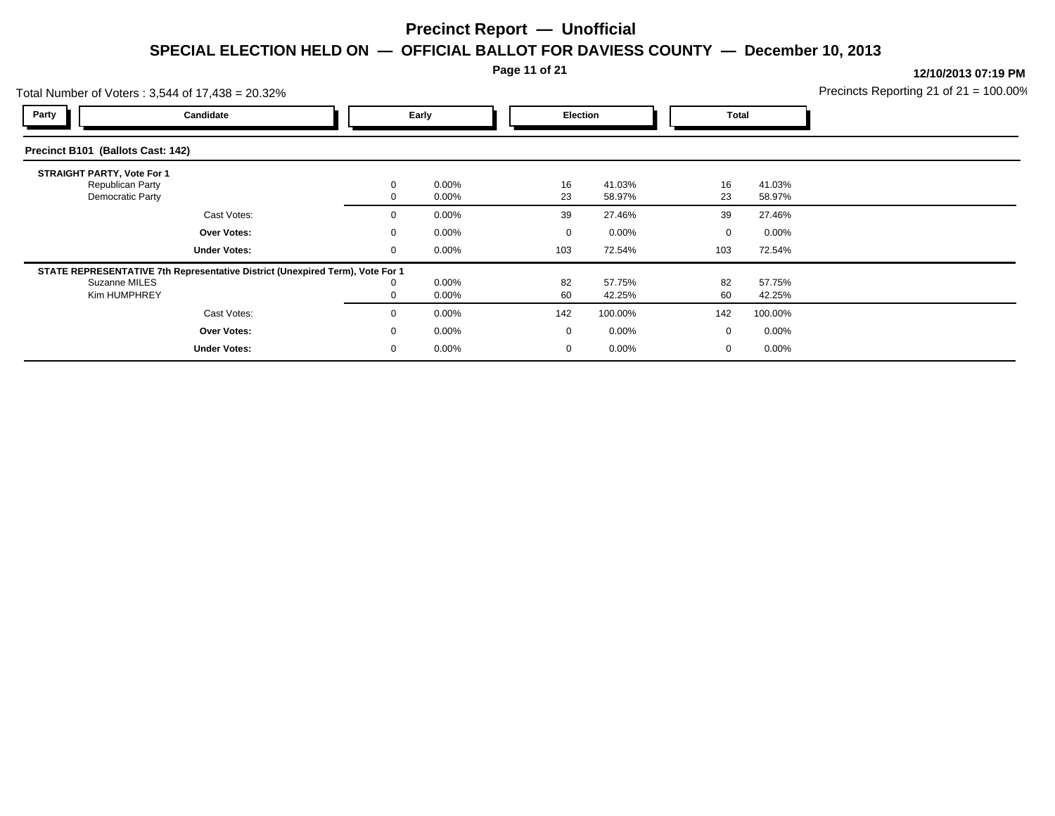### **Page 11 of 21**

| Total Number of Voters: 3,544 of 17,438 = 20.32%                          |                                                                               |             |                      |  |          |                  |  |              | Precincts Reporting 21 of $21 = 100.00\%$ |  |
|---------------------------------------------------------------------------|-------------------------------------------------------------------------------|-------------|----------------------|--|----------|------------------|--|--------------|-------------------------------------------|--|
| Party                                                                     | Candidate                                                                     |             | Early                |  | Election |                  |  | <b>Total</b> |                                           |  |
| Precinct B101 (Ballots Cast: 142)                                         |                                                                               |             |                      |  |          |                  |  |              |                                           |  |
| <b>STRAIGHT PARTY, Vote For 1</b><br>Republican Party<br>Democratic Party |                                                                               |             | $0.00\%$<br>$0.00\%$ |  | 16<br>23 | 41.03%<br>58.97% |  | 16<br>23     | 41.03%<br>58.97%                          |  |
|                                                                           | Cast Votes:                                                                   | 0           | $0.00\%$             |  | 39       | 27.46%           |  | 39           | 27.46%                                    |  |
|                                                                           | Over Votes:                                                                   |             | $0.00\%$             |  |          | $0.00\%$         |  | 0            | $0.00\%$                                  |  |
|                                                                           | <b>Under Votes:</b>                                                           | $\mathbf 0$ | $0.00\%$             |  | 103      | 72.54%           |  | 103          | 72.54%                                    |  |
|                                                                           | STATE REPRESENTATIVE 7th Representative District (Unexpired Term), Vote For 1 |             |                      |  |          |                  |  |              |                                           |  |
| Suzanne MILES<br>Kim HUMPHREY                                             |                                                                               |             | $0.00\%$<br>$0.00\%$ |  | 82<br>60 | 57.75%<br>42.25% |  | 82<br>60     | 57.75%<br>42.25%                          |  |
|                                                                           | Cast Votes:                                                                   | $\Omega$    | $0.00\%$             |  | 142      | 100.00%          |  | 142          | 100.00%                                   |  |
|                                                                           | Over Votes:                                                                   | $\Omega$    | $0.00\%$             |  | $\Omega$ | $0.00\%$         |  | $\mathbf{0}$ | $0.00\%$                                  |  |
|                                                                           | <b>Under Votes:</b>                                                           | 0           | $0.00\%$             |  | 0        | 0.00%            |  | 0            | $0.00\%$                                  |  |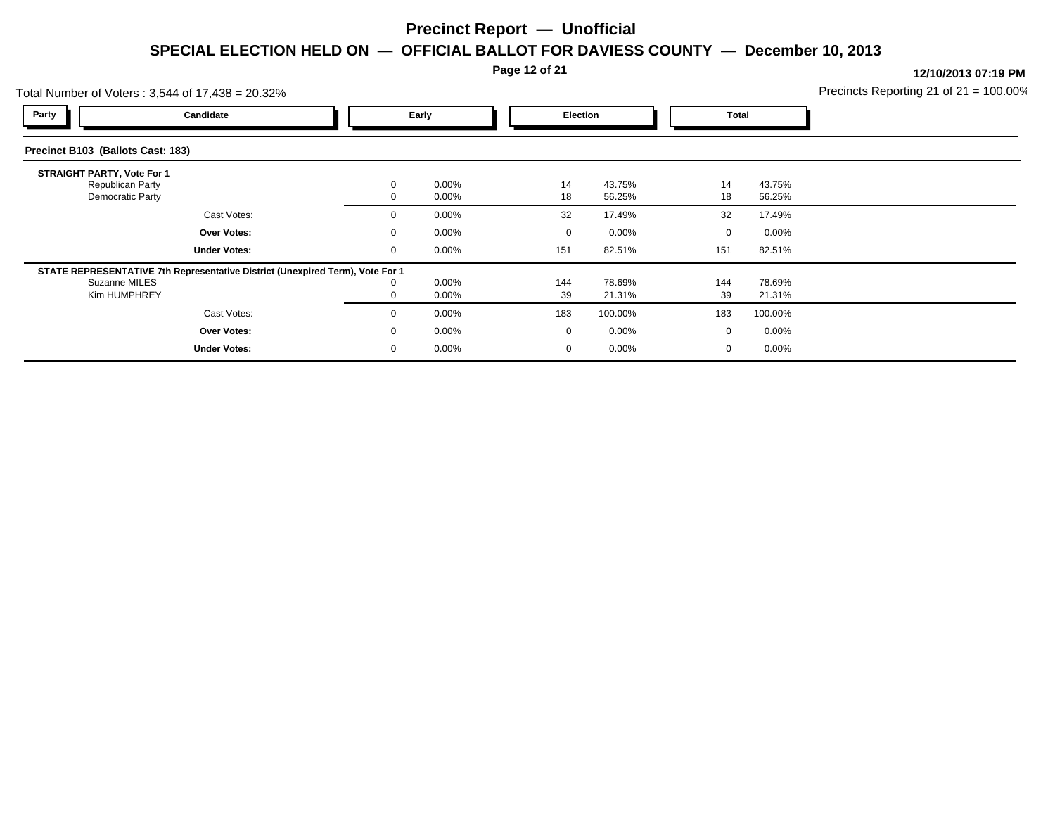**Page 12 of 21**

|                                   | Total Number of Voters: 3,544 of 17,438 = 20.32%                                                     |              |                |             |                  | Precincts Reporting 21 of $21 = 100.00\%$ |                  |  |
|-----------------------------------|------------------------------------------------------------------------------------------------------|--------------|----------------|-------------|------------------|-------------------------------------------|------------------|--|
| Party                             | Candidate                                                                                            |              | Early          |             | Election         |                                           | Total            |  |
| Precinct B103 (Ballots Cast: 183) |                                                                                                      |              |                |             |                  |                                           |                  |  |
| <b>STRAIGHT PARTY, Vote For 1</b> | Republican Party<br>Democratic Party                                                                 | $\mathbf{0}$ | 0.00%<br>0.00% | 14<br>18    | 43.75%<br>56.25% | 14<br>18                                  | 43.75%<br>56.25% |  |
|                                   | Cast Votes:                                                                                          | $\mathbf{0}$ | 0.00%          | 32          | 17.49%           | 32                                        | 17.49%           |  |
|                                   | Over Votes:                                                                                          | $\mathbf{0}$ | 0.00%          | $\mathbf 0$ | $0.00\%$         | $\mathbf 0$                               | $0.00\%$         |  |
|                                   | <b>Under Votes:</b><br>STATE REPRESENTATIVE 7th Representative District (Unexpired Term), Vote For 1 | 0            | 0.00%          | 151         | 82.51%           | 151                                       | 82.51%           |  |
|                                   | Suzanne MILES<br>Kim HUMPHREY                                                                        | 0            | 0.00%<br>0.00% | 144<br>39   | 78.69%<br>21.31% | 144<br>39                                 | 78.69%<br>21.31% |  |
|                                   | Cast Votes:                                                                                          | $\mathbf{0}$ | 0.00%          | 183         | 100.00%          | 183                                       | 100.00%          |  |
|                                   | Over Votes:                                                                                          | $\mathbf{0}$ | 0.00%          | $\mathbf 0$ | $0.00\%$         | 0                                         | $0.00\%$         |  |
|                                   | <b>Under Votes:</b>                                                                                  | 0            | 0.00%          | 0           | $0.00\%$         | 0                                         | $0.00\%$         |  |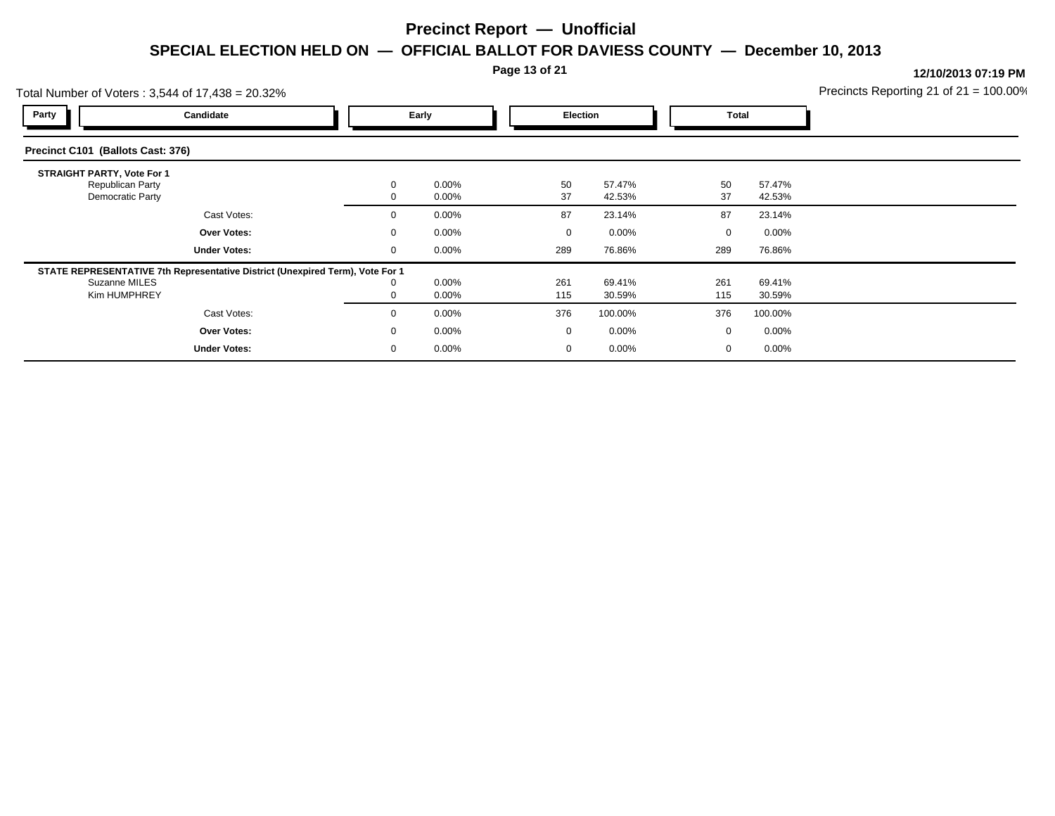#### **Page 13 of 21**

| Total Number of Voters: 3,544 of 17,438 = 20.32%                          |                                                                               |             |                      |            |                  |              |                  | Precincts Reporting 21 of $21 = 100.00\%$ |
|---------------------------------------------------------------------------|-------------------------------------------------------------------------------|-------------|----------------------|------------|------------------|--------------|------------------|-------------------------------------------|
| Party                                                                     | Candidate                                                                     |             | Early                |            | Election         | <b>Total</b> |                  |                                           |
| Precinct C101 (Ballots Cast: 376)                                         |                                                                               |             |                      |            |                  |              |                  |                                           |
| <b>STRAIGHT PARTY, Vote For 1</b><br>Republican Party<br>Democratic Party |                                                                               |             | $0.00\%$<br>$0.00\%$ | 50<br>37   | 57.47%<br>42.53% | 50<br>37     | 57.47%<br>42.53% |                                           |
|                                                                           | Cast Votes:                                                                   |             | $0.00\%$             | 87         | 23.14%           | 87           | 23.14%           |                                           |
|                                                                           | Over Votes:                                                                   |             | $0.00\%$             | $\Omega$   | $0.00\%$         | 0            | $0.00\%$         |                                           |
|                                                                           | <b>Under Votes:</b>                                                           | $\mathbf 0$ | $0.00\%$             | 289        | 76.86%           | 289          | 76.86%           |                                           |
| Suzanne MILES<br>Kim HUMPHREY                                             | STATE REPRESENTATIVE 7th Representative District (Unexpired Term), Vote For 1 |             | 0.00%<br>$0.00\%$    | 261<br>115 | 69.41%<br>30.59% | 261<br>115   | 69.41%<br>30.59% |                                           |
|                                                                           | Cast Votes:                                                                   | $\Omega$    | $0.00\%$             | 376        | 100.00%          | 376          | 100.00%          |                                           |
|                                                                           | Over Votes:                                                                   |             | $0.00\%$             | $\Omega$   | 0.00%            | 0            | $0.00\%$         |                                           |
|                                                                           | <b>Under Votes:</b>                                                           |             | $0.00\%$             |            | 0.00%            | 0            | $0.00\%$         |                                           |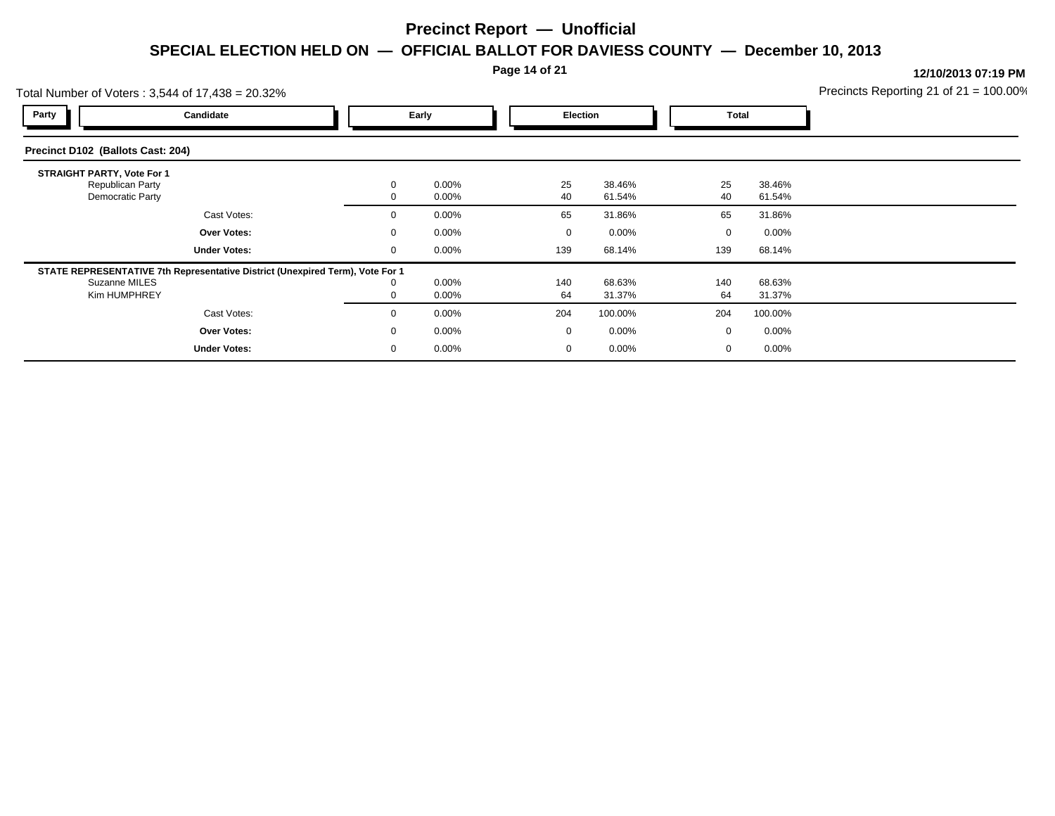#### **Page 14 of 21**

|                                                                           | Total Number of Voters: 3,544 of 17,438 = 20.32%                              |  |          |                      |                 |                  |              |                  | Precincts Reporting 21 of $21 = 100.00\%$ |
|---------------------------------------------------------------------------|-------------------------------------------------------------------------------|--|----------|----------------------|-----------------|------------------|--------------|------------------|-------------------------------------------|
| Party                                                                     | Candidate                                                                     |  | Early    |                      | <b>Election</b> |                  | <b>Total</b> |                  |                                           |
| Precinct D102 (Ballots Cast: 204)                                         |                                                                               |  |          |                      |                 |                  |              |                  |                                           |
| <b>STRAIGHT PARTY, Vote For 1</b><br>Republican Party<br>Democratic Party |                                                                               |  |          | $0.00\%$<br>$0.00\%$ | 25<br>40        | 38.46%<br>61.54% | 25<br>40     | 38.46%<br>61.54% |                                           |
|                                                                           | Cast Votes:                                                                   |  |          | $0.00\%$             | 65              | 31.86%           | 65           | 31.86%           |                                           |
|                                                                           | Over Votes:                                                                   |  |          | $0.00\%$             | $\Omega$        | 0.00%            | $\Omega$     | $0.00\%$         |                                           |
|                                                                           | <b>Under Votes:</b>                                                           |  |          | $0.00\%$             | 139             | 68.14%           | 139          | 68.14%           |                                           |
| Suzanne MILES<br>Kim HUMPHREY                                             | STATE REPRESENTATIVE 7th Representative District (Unexpired Term), Vote For 1 |  |          | $0.00\%$<br>$0.00\%$ | 140<br>64       | 68.63%<br>31.37% | 140<br>64    | 68.63%<br>31.37% |                                           |
|                                                                           | Cast Votes:                                                                   |  | $\Omega$ | $0.00\%$             | 204             | 100.00%          | 204          | 100.00%          |                                           |
|                                                                           | <b>Over Votes:</b>                                                            |  | 0        | $0.00\%$             | $\overline{0}$  | $0.00\%$         | 0            | $0.00\%$         |                                           |
|                                                                           | <b>Under Votes:</b>                                                           |  |          | $0.00\%$             |                 | 0.00%            | 0            | $0.00\%$         |                                           |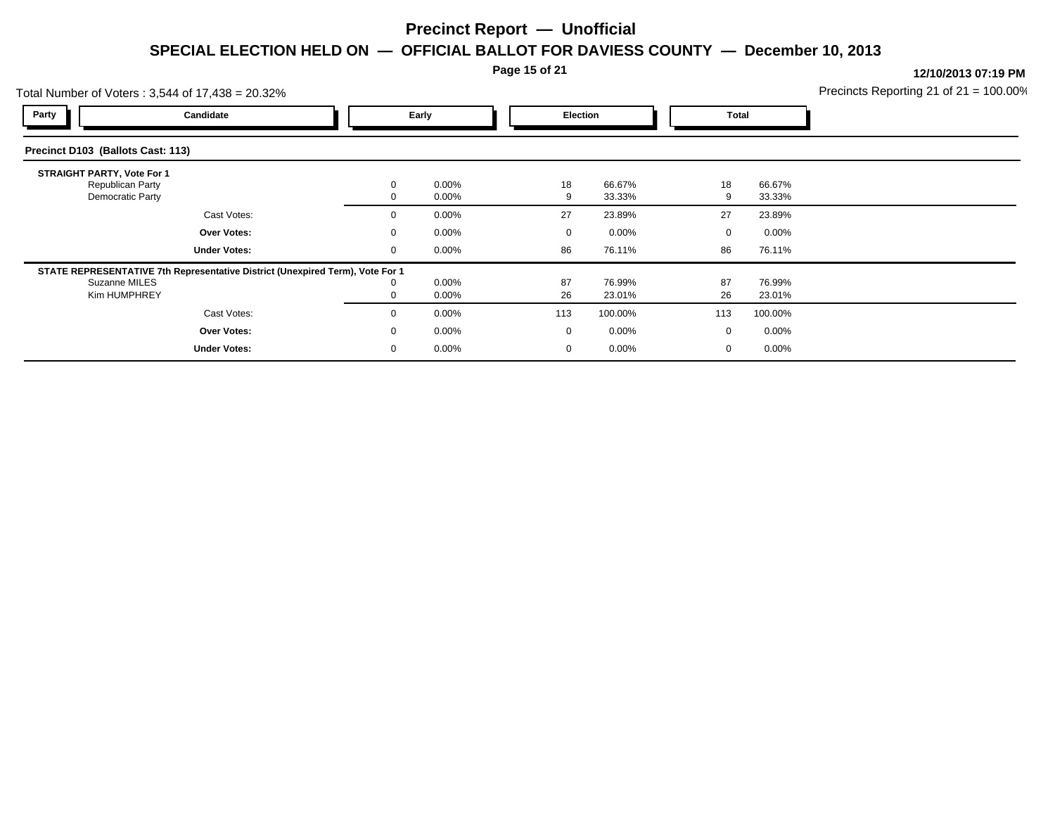#### **Page 15 of 21**

| Total Number of Voters: 3,544 of 17,438 = 20.32%                          |                                                                               |             |                      |          |                  |              |                  | Precincts Reporting 21 of $21 = 100.00\%$ |
|---------------------------------------------------------------------------|-------------------------------------------------------------------------------|-------------|----------------------|----------|------------------|--------------|------------------|-------------------------------------------|
| Party                                                                     | Candidate                                                                     |             | Early                |          | Election         | <b>Total</b> |                  |                                           |
| Precinct D103 (Ballots Cast: 113)                                         |                                                                               |             |                      |          |                  |              |                  |                                           |
| <b>STRAIGHT PARTY, Vote For 1</b><br>Republican Party<br>Democratic Party |                                                                               |             | $0.00\%$<br>$0.00\%$ | 18       | 66.67%<br>33.33% | 18           | 66.67%<br>33.33% |                                           |
|                                                                           | Cast Votes:                                                                   |             | $0.00\%$             | 27       | 23.89%           | 27           | 23.89%           |                                           |
|                                                                           | Over Votes:                                                                   |             | $0.00\%$             | 0        | $0.00\%$         | 0            | $0.00\%$         |                                           |
|                                                                           | <b>Under Votes:</b>                                                           | $\mathbf 0$ | $0.00\%$             | 86       | 76.11%           | 86           | 76.11%           |                                           |
| Suzanne MILES<br>Kim HUMPHREY                                             | STATE REPRESENTATIVE 7th Representative District (Unexpired Term), Vote For 1 |             | 0.00%<br>$0.00\%$    | 87<br>26 | 76.99%<br>23.01% | 87<br>26     | 76.99%<br>23.01% |                                           |
|                                                                           | Cast Votes:                                                                   |             | $0.00\%$             | 113      | 100.00%          | 113          | 100.00%          |                                           |
|                                                                           | Over Votes:                                                                   |             | $0.00\%$             | $\Omega$ | 0.00%            | 0            | $0.00\%$         |                                           |
|                                                                           | <b>Under Votes:</b>                                                           |             | $0.00\%$             |          | 0.00%            | 0            | $0.00\%$         |                                           |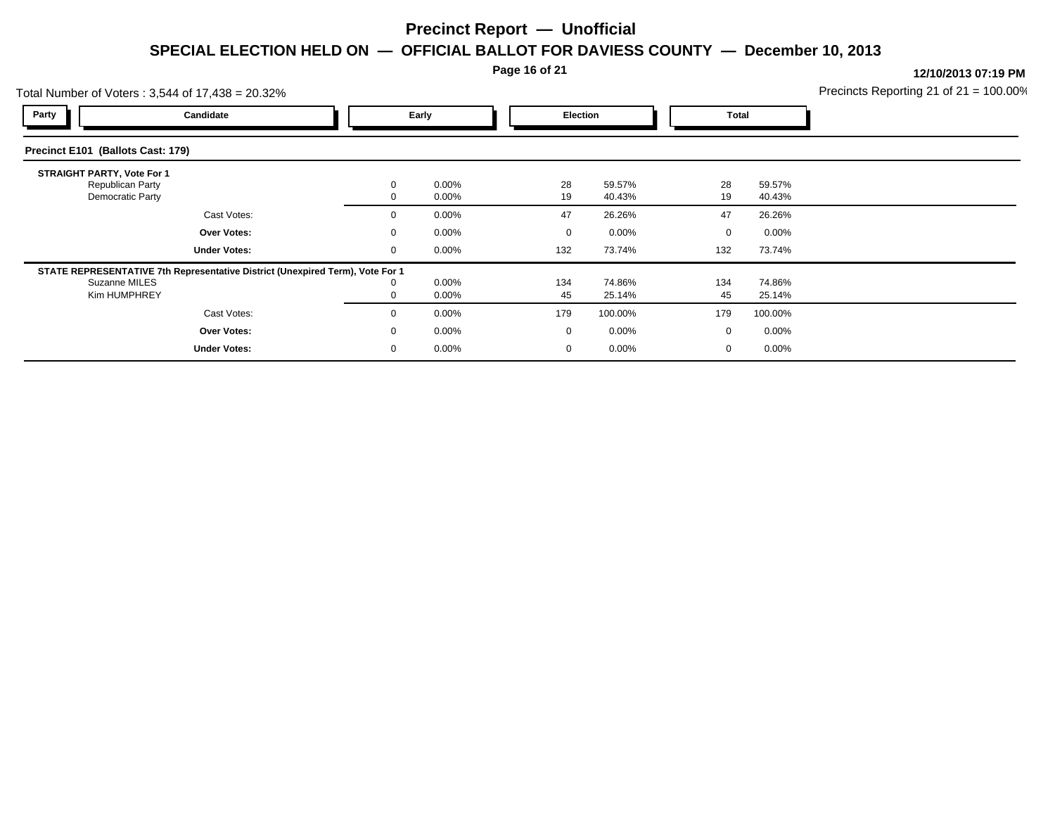**Page 16 of 21**

|                                   | Total Number of Voters: 3,544 of 17,438 = 20.32%                                                               |                   |                |                    |                    |                    |                    | Precincts Reporting 21 of $21 = 100.00\%$ |
|-----------------------------------|----------------------------------------------------------------------------------------------------------------|-------------------|----------------|--------------------|--------------------|--------------------|--------------------|-------------------------------------------|
| Party                             | Candidate                                                                                                      |                   | Early          |                    | <b>Election</b>    | Total              |                    |                                           |
| Precinct E101 (Ballots Cast: 179) |                                                                                                                |                   |                |                    |                    |                    |                    |                                           |
| <b>STRAIGHT PARTY, Vote For 1</b> | Republican Party<br>Democratic Party                                                                           | $\mathbf{0}$      | 0.00%<br>0.00% | 28<br>19           | 59.57%<br>40.43%   | 28<br>19           | 59.57%<br>40.43%   |                                           |
|                                   | Cast Votes:                                                                                                    | $\mathbf{0}$      | 0.00%          | 47                 | 26.26%             | 47                 | 26.26%             |                                           |
|                                   | Over Votes:<br><b>Under Votes:</b>                                                                             | $\mathbf{0}$<br>0 | 0.00%<br>0.00% | $\mathbf 0$<br>132 | $0.00\%$<br>73.74% | $\mathbf 0$<br>132 | $0.00\%$<br>73.74% |                                           |
|                                   | STATE REPRESENTATIVE 7th Representative District (Unexpired Term), Vote For 1<br>Suzanne MILES<br>Kim HUMPHREY | 0                 | 0.00%<br>0.00% | 134<br>45          | 74.86%<br>25.14%   | 134<br>45          | 74.86%<br>25.14%   |                                           |
|                                   | Cast Votes:                                                                                                    | $\mathbf{0}$      | 0.00%          | 179                | 100.00%            | 179                | 100.00%            |                                           |
|                                   | Over Votes:                                                                                                    | $\mathbf{0}$      | 0.00%          | $\mathbf 0$        | $0.00\%$           | 0                  | $0.00\%$           |                                           |
|                                   | <b>Under Votes:</b>                                                                                            | 0                 | 0.00%          | 0                  | $0.00\%$           | 0                  | $0.00\%$           |                                           |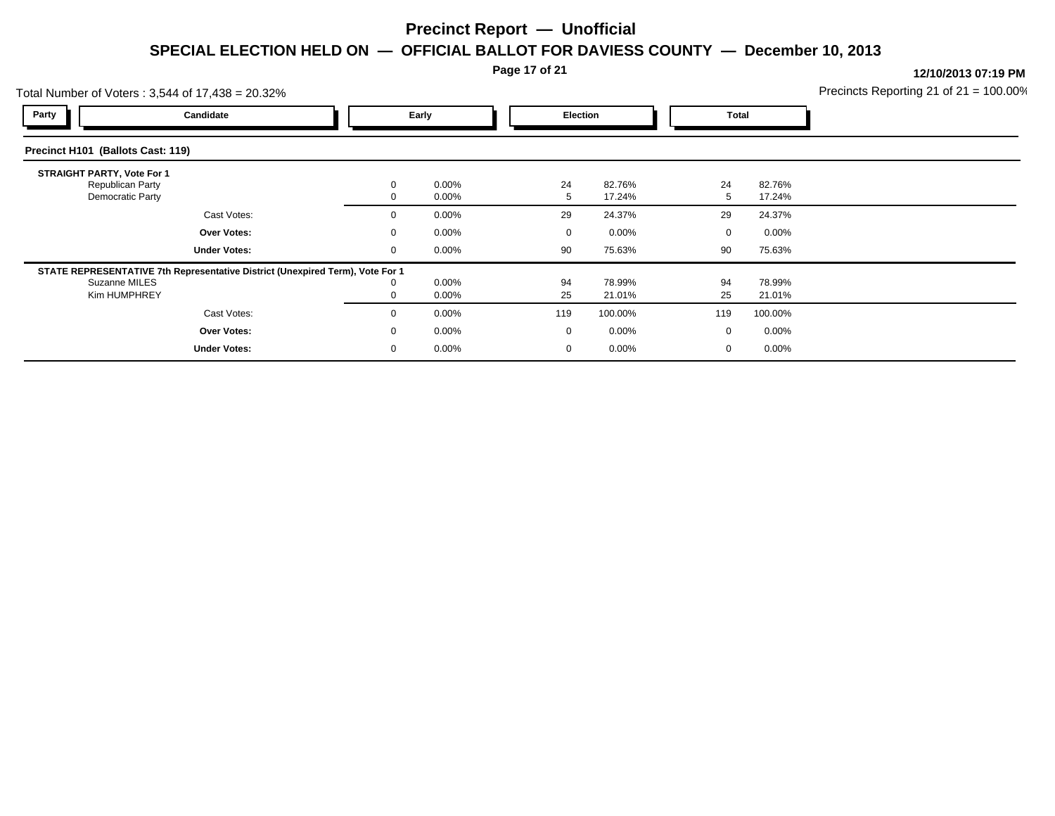### **Page 17 of 21**

|                                                                           | Total Number of Voters: 3,544 of 17,438 = 20.32%                              |  |       |                      |                 |                  |              |                  | Precincts Reporting 21 of $21 = 100.00\%$ |
|---------------------------------------------------------------------------|-------------------------------------------------------------------------------|--|-------|----------------------|-----------------|------------------|--------------|------------------|-------------------------------------------|
| Party                                                                     | Candidate                                                                     |  | Early |                      | <b>Election</b> |                  | <b>Total</b> |                  |                                           |
| Precinct H101 (Ballots Cast: 119)                                         |                                                                               |  |       |                      |                 |                  |              |                  |                                           |
| <b>STRAIGHT PARTY, Vote For 1</b><br>Republican Party<br>Democratic Party |                                                                               |  |       | $0.00\%$<br>$0.00\%$ | 24              | 82.76%<br>17.24% | 24           | 82.76%<br>17.24% |                                           |
|                                                                           | Cast Votes:                                                                   |  |       | $0.00\%$             | 29              | 24.37%           | 29           | 24.37%           |                                           |
|                                                                           | Over Votes:                                                                   |  |       | $0.00\%$             | $\Omega$        | 0.00%            | $\Omega$     | $0.00\%$         |                                           |
|                                                                           | <b>Under Votes:</b>                                                           |  |       | $0.00\%$             | 90              | 75.63%           | 90           | 75.63%           |                                           |
| Suzanne MILES<br>Kim HUMPHREY                                             | STATE REPRESENTATIVE 7th Representative District (Unexpired Term), Vote For 1 |  |       | $0.00\%$<br>$0.00\%$ | 94<br>25        | 78.99%<br>21.01% | 94<br>25     | 78.99%<br>21.01% |                                           |
|                                                                           | Cast Votes:                                                                   |  | 0     | $0.00\%$             | 119             | 100.00%          | 119          | 100.00%          |                                           |
|                                                                           | <b>Over Votes:</b>                                                            |  | 0     | $0.00\%$             | $\overline{0}$  | $0.00\%$         | 0            | $0.00\%$         |                                           |
|                                                                           | <b>Under Votes:</b>                                                           |  |       | $0.00\%$             |                 | 0.00%            | 0            | $0.00\%$         |                                           |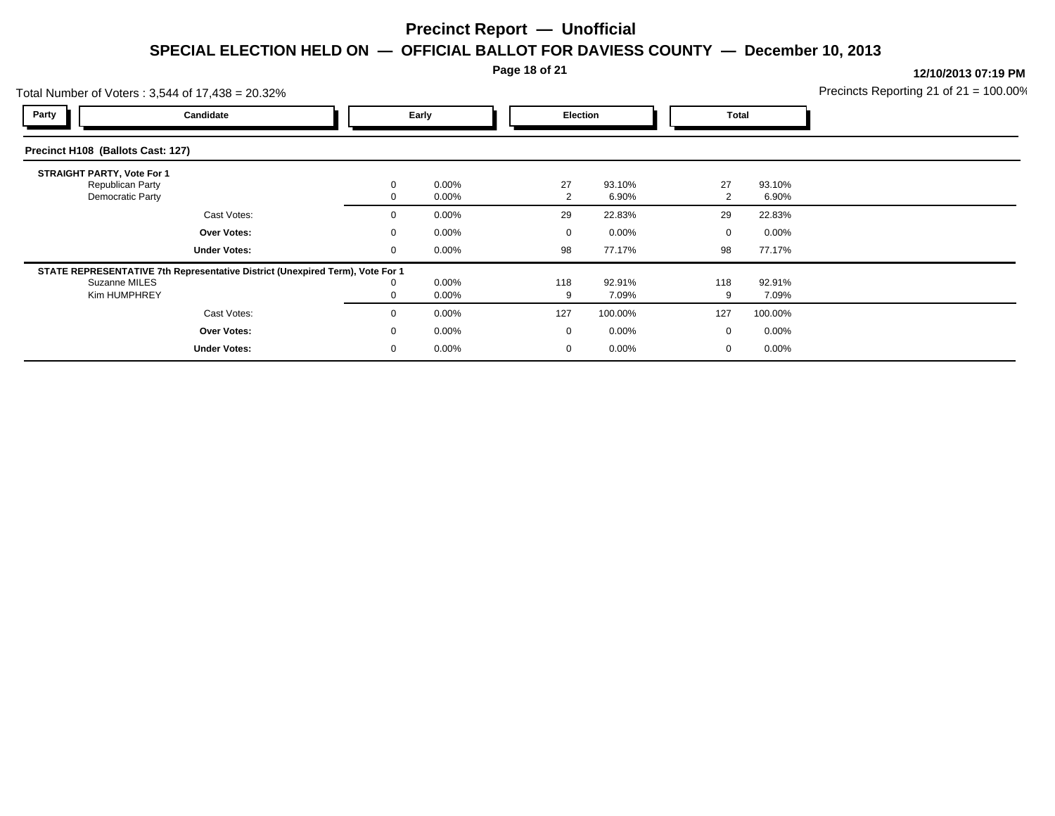**Page 18 of 21**

|                                   | Total Number of Voters: 3,544 of 17,438 = 20.32%                              |              |                   |             |                 |             |                 | Precincts Reporting 21 of $21 = 100.00\%$ |
|-----------------------------------|-------------------------------------------------------------------------------|--------------|-------------------|-------------|-----------------|-------------|-----------------|-------------------------------------------|
| Party                             | Candidate                                                                     |              | Early             |             | <b>Election</b> | Total       |                 |                                           |
| Precinct H108 (Ballots Cast: 127) |                                                                               |              |                   |             |                 |             |                 |                                           |
| <b>STRAIGHT PARTY, Vote For 1</b> |                                                                               |              |                   |             |                 |             |                 |                                           |
|                                   | Republican Party<br>Democratic Party                                          | $\mathbf{0}$ | 0.00%<br>0.00%    | 27<br>2     | 93.10%<br>6.90% | 27<br>2     | 93.10%<br>6.90% |                                           |
|                                   | Cast Votes:                                                                   | $\mathbf{0}$ | 0.00%             | 29          | 22.83%          | 29          | 22.83%          |                                           |
|                                   | Over Votes:                                                                   | $\mathbf{0}$ | 0.00%             | $\mathbf 0$ | $0.00\%$        | $\mathbf 0$ | $0.00\%$        |                                           |
|                                   | <b>Under Votes:</b>                                                           | 0            | $0.00\%$          | 98          | 77.17%          | 98          | 77.17%          |                                           |
|                                   | STATE REPRESENTATIVE 7th Representative District (Unexpired Term), Vote For 1 |              |                   |             |                 |             |                 |                                           |
|                                   | Suzanne MILES<br>Kim HUMPHREY                                                 | $\mathbf 0$  | 0.00%<br>$0.00\%$ | 118<br>9    | 92.91%<br>7.09% | 118<br>9    | 92.91%<br>7.09% |                                           |
|                                   | Cast Votes:                                                                   | $\mathbf{0}$ | 0.00%             | 127         | 100.00%         | 127         | 100.00%         |                                           |
|                                   | Over Votes:                                                                   | $\mathbf{0}$ | 0.00%             | $\mathbf 0$ | $0.00\%$        | 0           | $0.00\%$        |                                           |
|                                   | <b>Under Votes:</b>                                                           | 0            | 0.00%             | 0           | $0.00\%$        | 0           | $0.00\%$        |                                           |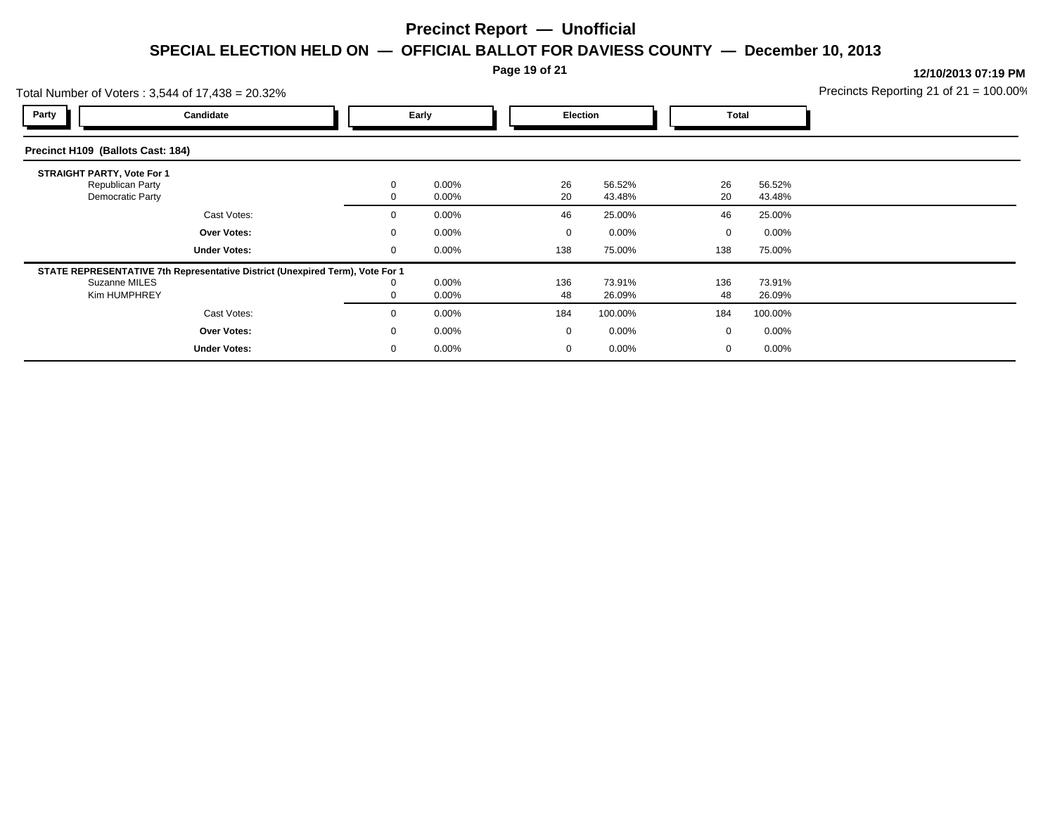**Page 19 of 21**

|                                   | Total Number of Voters: 3,544 of 17,438 = 20.32%                                              |                   |                |     |                                   |                    |                    | Precincts Reporting 21 of $21 = 100.00\%$ |
|-----------------------------------|-----------------------------------------------------------------------------------------------|-------------------|----------------|-----|-----------------------------------|--------------------|--------------------|-------------------------------------------|
| Party                             | Candidate                                                                                     |                   | Early          |     | Election                          |                    | Total              |                                           |
| Precinct H109 (Ballots Cast: 184) |                                                                                               |                   |                |     |                                   |                    |                    |                                           |
| <b>STRAIGHT PARTY, Vote For 1</b> | Republican Party<br>Democratic Party                                                          | 0                 | 0.00%<br>0.00% |     | 26<br>56.52%<br>20<br>43.48%      | 26<br>20           | 56.52%<br>43.48%   |                                           |
|                                   | Cast Votes:                                                                                   | $\mathbf{0}$      | 0.00%          |     | 46<br>25.00%                      | 46                 | 25.00%             |                                           |
|                                   | Over Votes:<br><b>Under Votes:</b>                                                            | $\mathbf{0}$<br>0 | 0.00%<br>0.00% | 138 | $0.00\%$<br>$\mathbf 0$<br>75.00% | $\mathbf 0$<br>138 | $0.00\%$<br>75.00% |                                           |
| Suzanne MILES                     | STATE REPRESENTATIVE 7th Representative District (Unexpired Term), Vote For 1<br>Kim HUMPHREY | 0                 | 0.00%<br>0.00% | 136 | 73.91%<br>48<br>26.09%            | 136<br>48          | 73.91%<br>26.09%   |                                           |
|                                   | Cast Votes:                                                                                   | $\Omega$          | 0.00%          | 184 | 100.00%                           | 184                | 100.00%            |                                           |
|                                   | Over Votes:                                                                                   | $\mathbf{0}$      | 0.00%          |     | $\mathbf 0$<br>$0.00\%$           | 0                  | $0.00\%$           |                                           |
|                                   | <b>Under Votes:</b>                                                                           | 0                 | 0.00%          |     | $0.00\%$<br>0                     | 0                  | $0.00\%$           |                                           |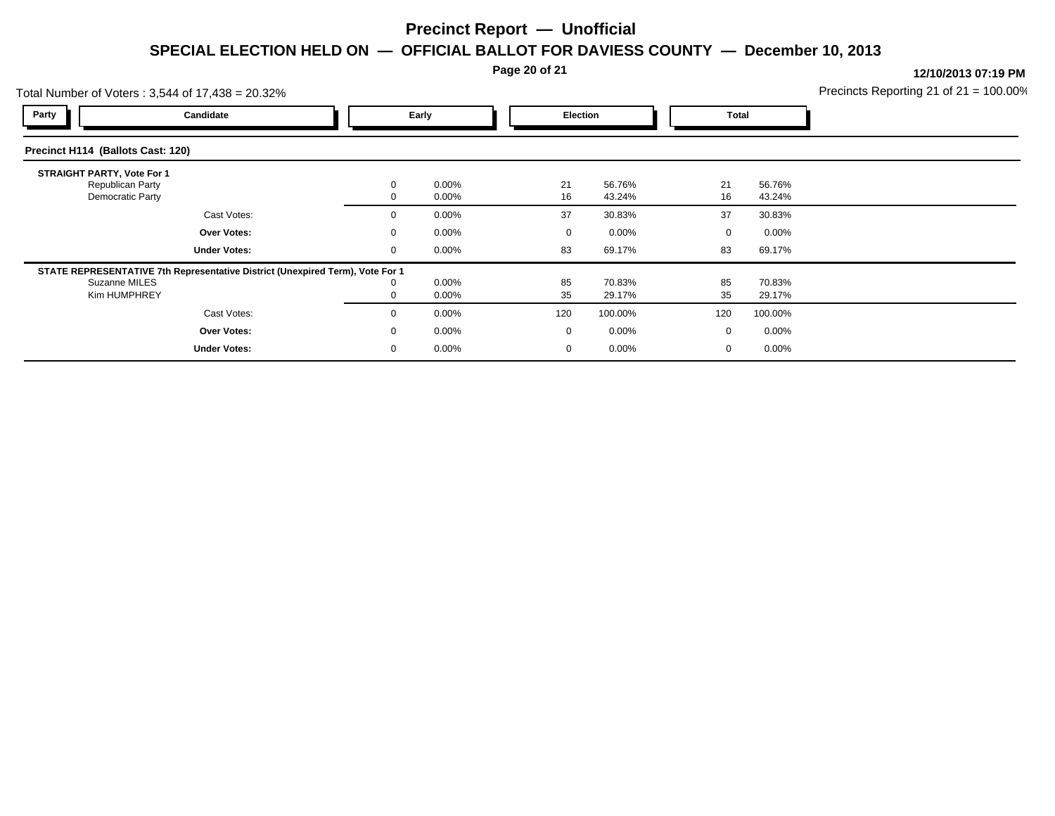#### **Page 20 of 21**

|                                                                                  | Total Number of Voters: 3,544 of 17,438 = 20.32%                              |  |                      |  |                 |                  |  |              |                  | Precincts Reporting 21 of $21 = 100.00\%$ |
|----------------------------------------------------------------------------------|-------------------------------------------------------------------------------|--|----------------------|--|-----------------|------------------|--|--------------|------------------|-------------------------------------------|
| Party                                                                            | Candidate                                                                     |  | Early                |  | <b>Election</b> |                  |  | <b>Total</b> |                  |                                           |
| Precinct H114 (Ballots Cast: 120)                                                |                                                                               |  |                      |  |                 |                  |  |              |                  |                                           |
| <b>STRAIGHT PARTY, Vote For 1</b><br>Republican Party<br><b>Democratic Party</b> |                                                                               |  | $0.00\%$<br>$0.00\%$ |  | 21<br>16        | 56.76%<br>43.24% |  | 21<br>16     | 56.76%<br>43.24% |                                           |
|                                                                                  | Cast Votes:                                                                   |  | $0.00\%$             |  | 37              | 30.83%           |  | 37           | 30.83%           |                                           |
|                                                                                  | Over Votes:                                                                   |  | $0.00\%$             |  | $\mathbf 0$     | $0.00\%$         |  | 0            | $0.00\%$         |                                           |
|                                                                                  | <b>Under Votes:</b>                                                           |  | $0.00\%$             |  | 83              | 69.17%           |  | 83           | 69.17%           |                                           |
| Suzanne MILES<br>Kim HUMPHREY                                                    | STATE REPRESENTATIVE 7th Representative District (Unexpired Term), Vote For 1 |  | $0.00\%$<br>$0.00\%$ |  | 85<br>35        | 70.83%<br>29.17% |  | 85<br>35     | 70.83%<br>29.17% |                                           |
|                                                                                  | Cast Votes:                                                                   |  | $0.00\%$             |  | 120             | 100.00%          |  | 120          | 100.00%          |                                           |
|                                                                                  | Over Votes:                                                                   |  | $0.00\%$             |  | $\mathbf 0$     | $0.00\%$         |  | 0            | $0.00\%$         |                                           |
|                                                                                  | <b>Under Votes:</b>                                                           |  | $0.00\%$             |  |                 | 0.00%            |  | 0            | $0.00\%$         |                                           |